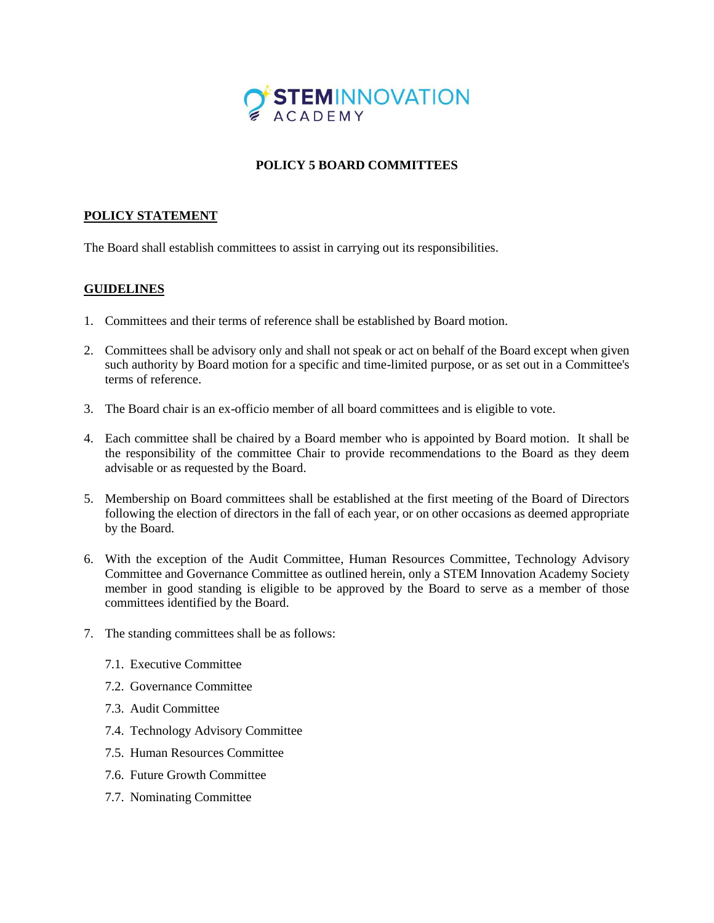

## **POLICY 5 BOARD COMMITTEES**

## **POLICY STATEMENT**

The Board shall establish committees to assist in carrying out its responsibilities.

## **GUIDELINES**

- 1. Committees and their terms of reference shall be established by Board motion.
- 2. Committees shall be advisory only and shall not speak or act on behalf of the Board except when given such authority by Board motion for a specific and time-limited purpose, or as set out in a Committee's terms of reference.
- 3. The Board chair is an ex-officio member of all board committees and is eligible to vote.
- 4. Each committee shall be chaired by a Board member who is appointed by Board motion. It shall be the responsibility of the committee Chair to provide recommendations to the Board as they deem advisable or as requested by the Board.
- 5. Membership on Board committees shall be established at the first meeting of the Board of Directors following the election of directors in the fall of each year, or on other occasions as deemed appropriate by the Board.
- 6. With the exception of the Audit Committee, Human Resources Committee, Technology Advisory Committee and Governance Committee as outlined herein, only a STEM Innovation Academy Society member in good standing is eligible to be approved by the Board to serve as a member of those committees identified by the Board.
- 7. The standing committees shall be as follows:
	- 7.1. Executive Committee
	- 7.2. Governance Committee
	- 7.3. Audit Committee
	- 7.4. Technology Advisory Committee
	- 7.5. Human Resources Committee
	- 7.6. Future Growth Committee
	- 7.7. Nominating Committee